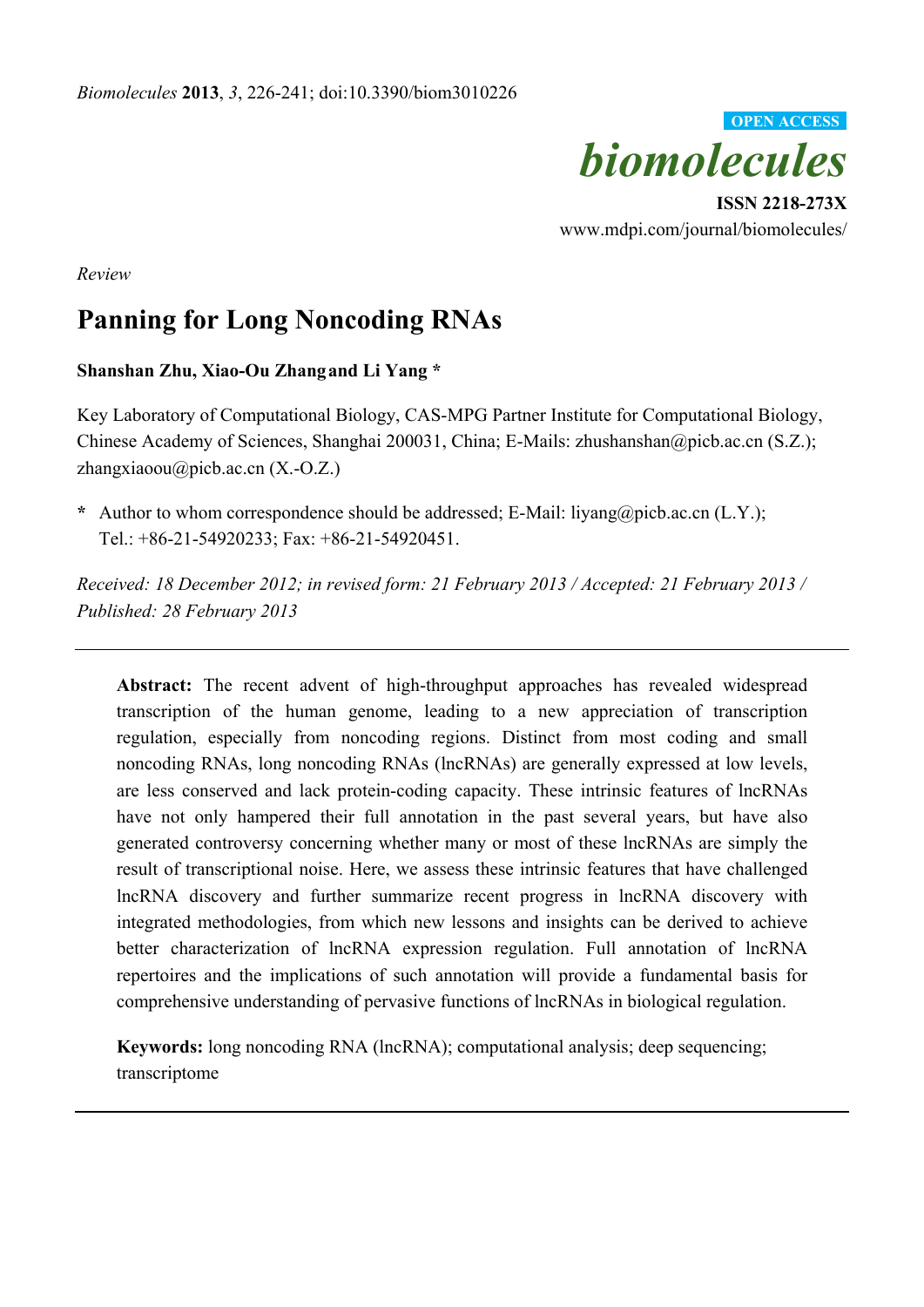

**ISSN 2218-273X**  www.mdpi.com/journal/biomolecules/

*Review* 

# **Panning for Long Noncoding RNAs**

## **Shanshan Zhu, Xiao-Ou Zhangand Li Yang \***

Key Laboratory of Computational Biology, CAS-MPG Partner Institute for Computational Biology, Chinese Academy of Sciences, Shanghai 200031, China; E-Mails: zhushanshan@picb.ac.cn (S.Z.); zhangxiaoou@picb.ac.cn  $(X.-O.Z.)$ 

**\*** Author to whom correspondence should be addressed; E-Mail: liyang@picb.ac.cn (L.Y.); Tel.: +86-21-54920233; Fax: +86-21-54920451.

*Received: 18 December 2012; in revised form: 21 February 2013 / Accepted: 21 February 2013 / Published: 28 February 2013* 

**Abstract:** The recent advent of high-throughput approaches has revealed widespread transcription of the human genome, leading to a new appreciation of transcription regulation, especially from noncoding regions. Distinct from most coding and small noncoding RNAs, long noncoding RNAs (lncRNAs) are generally expressed at low levels, are less conserved and lack protein-coding capacity. These intrinsic features of lncRNAs have not only hampered their full annotation in the past several years, but have also generated controversy concerning whether many or most of these lncRNAs are simply the result of transcriptional noise. Here, we assess these intrinsic features that have challenged lncRNA discovery and further summarize recent progress in lncRNA discovery with integrated methodologies, from which new lessons and insights can be derived to achieve better characterization of lncRNA expression regulation. Full annotation of lncRNA repertoires and the implications of such annotation will provide a fundamental basis for comprehensive understanding of pervasive functions of lncRNAs in biological regulation.

**Keywords:** long noncoding RNA (lncRNA); computational analysis; deep sequencing; transcriptome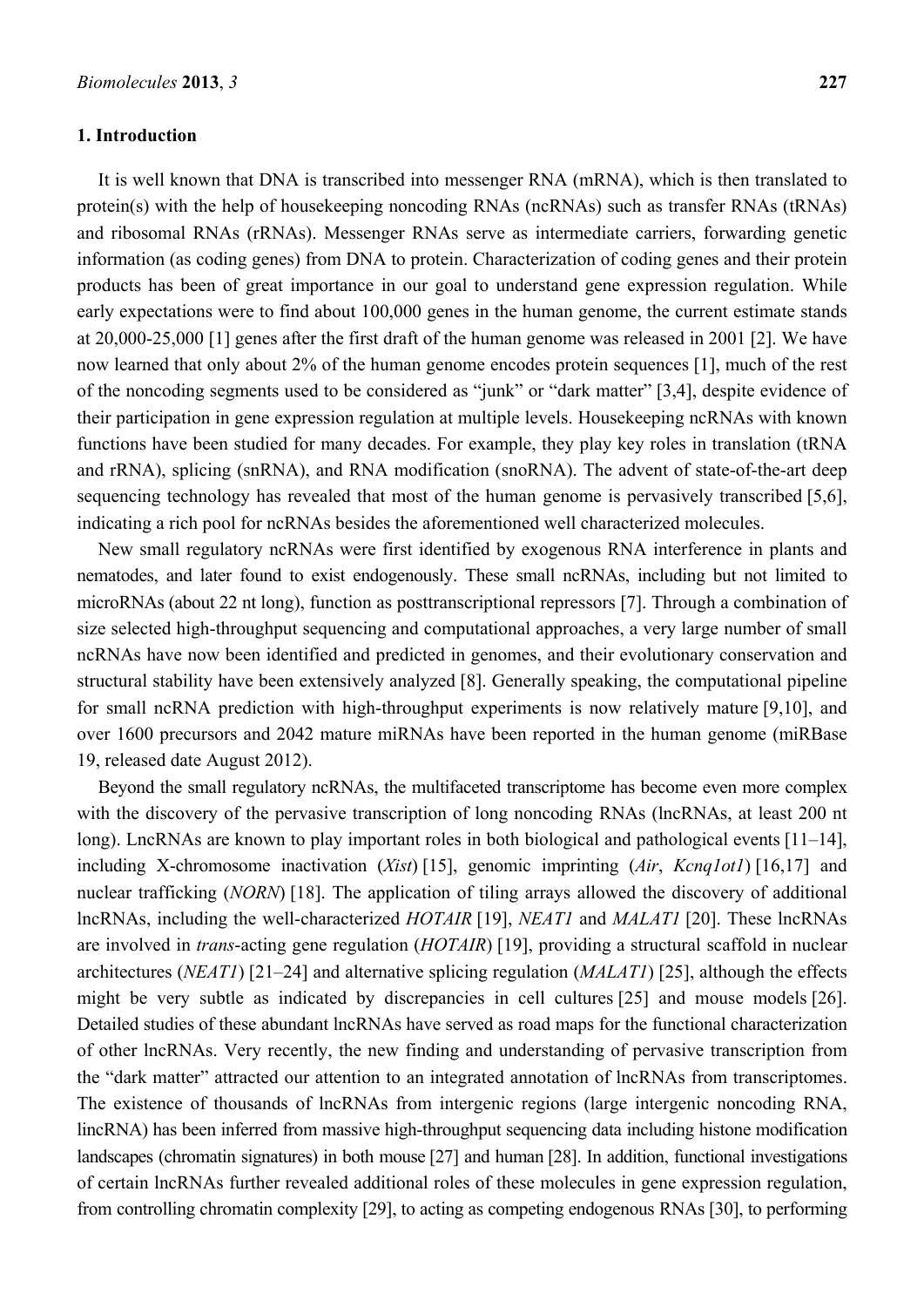#### **1. Introduction**

It is well known that DNA is transcribed into messenger RNA (mRNA), which is then translated to protein(s) with the help of housekeeping noncoding RNAs (ncRNAs) such as transfer RNAs (tRNAs) and ribosomal RNAs (rRNAs). Messenger RNAs serve as intermediate carriers, forwarding genetic information (as coding genes) from DNA to protein. Characterization of coding genes and their protein products has been of great importance in our goal to understand gene expression regulation. While early expectations were to find about 100,000 genes in the human genome, the current estimate stands at 20,000-25,000 [1] genes after the first draft of the human genome was released in 2001 [2]. We have now learned that only about 2% of the human genome encodes protein sequences [1], much of the rest of the noncoding segments used to be considered as "junk" or "dark matter" [3,4], despite evidence of their participation in gene expression regulation at multiple levels. Housekeeping ncRNAs with known functions have been studied for many decades. For example, they play key roles in translation (tRNA and rRNA), splicing (snRNA), and RNA modification (snoRNA). The advent of state-of-the-art deep sequencing technology has revealed that most of the human genome is pervasively transcribed [5,6], indicating a rich pool for ncRNAs besides the aforementioned well characterized molecules.

New small regulatory ncRNAs were first identified by exogenous RNA interference in plants and nematodes, and later found to exist endogenously. These small ncRNAs, including but not limited to microRNAs (about 22 nt long), function as posttranscriptional repressors [7]. Through a combination of size selected high-throughput sequencing and computational approaches, a very large number of small ncRNAs have now been identified and predicted in genomes, and their evolutionary conservation and structural stability have been extensively analyzed [8]. Generally speaking, the computational pipeline for small ncRNA prediction with high-throughput experiments is now relatively mature [9,10], and over 1600 precursors and 2042 mature miRNAs have been reported in the human genome (miRBase 19, released date August 2012).

Beyond the small regulatory ncRNAs, the multifaceted transcriptome has become even more complex with the discovery of the pervasive transcription of long noncoding RNAs (lncRNAs, at least 200 nt long). LncRNAs are known to play important roles in both biological and pathological events [11–14], including X-chromosome inactivation (*Xist*) [15], genomic imprinting (*Air*, *Kcnq1ot1*) [16,17] and nuclear trafficking (*NORN*) [18]. The application of tiling arrays allowed the discovery of additional lncRNAs, including the well-characterized *HOTAIR* [19], *NEAT1* and *MALAT1* [20]. These lncRNAs are involved in *trans*-acting gene regulation (*HOTAIR*) [19], providing a structural scaffold in nuclear architectures (*NEAT1*) [21–24] and alternative splicing regulation (*MALAT1*) [25], although the effects might be very subtle as indicated by discrepancies in cell cultures [25] and mouse models [26]. Detailed studies of these abundant lncRNAs have served as road maps for the functional characterization of other lncRNAs. Very recently, the new finding and understanding of pervasive transcription from the "dark matter" attracted our attention to an integrated annotation of lncRNAs from transcriptomes. The existence of thousands of lncRNAs from intergenic regions (large intergenic noncoding RNA, lincRNA) has been inferred from massive high-throughput sequencing data including histone modification landscapes (chromatin signatures) in both mouse [27] and human [28]. In addition, functional investigations of certain lncRNAs further revealed additional roles of these molecules in gene expression regulation, from controlling chromatin complexity [29], to acting as competing endogenous RNAs [30], to performing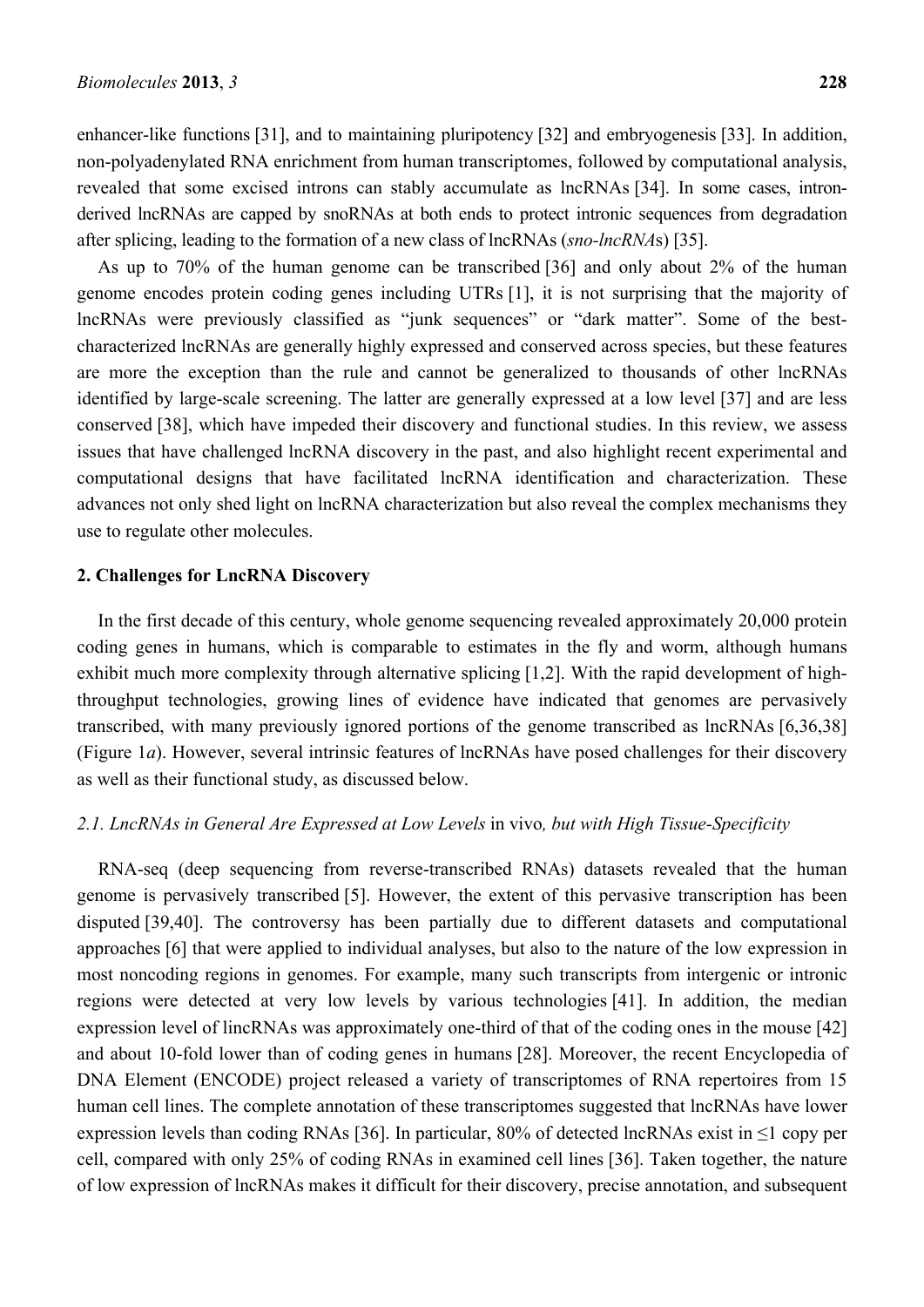enhancer-like functions [31], and to maintaining pluripotency [32] and embryogenesis [33]. In addition, non-polyadenylated RNA enrichment from human transcriptomes, followed by computational analysis, revealed that some excised introns can stably accumulate as lncRNAs [34]. In some cases, intronderived lncRNAs are capped by snoRNAs at both ends to protect intronic sequences from degradation after splicing, leading to the formation of a new class of lncRNAs (*sno-lncRNA*s) [35].

As up to 70% of the human genome can be transcribed [36] and only about 2% of the human genome encodes protein coding genes including UTRs [1], it is not surprising that the majority of lncRNAs were previously classified as "junk sequences" or "dark matter". Some of the bestcharacterized lncRNAs are generally highly expressed and conserved across species, but these features are more the exception than the rule and cannot be generalized to thousands of other lncRNAs identified by large-scale screening. The latter are generally expressed at a low level [37] and are less conserved [38], which have impeded their discovery and functional studies. In this review, we assess issues that have challenged lncRNA discovery in the past, and also highlight recent experimental and computational designs that have facilitated lncRNA identification and characterization. These advances not only shed light on lncRNA characterization but also reveal the complex mechanisms they use to regulate other molecules.

#### **2. Challenges for LncRNA Discovery**

In the first decade of this century, whole genome sequencing revealed approximately 20,000 protein coding genes in humans, which is comparable to estimates in the fly and worm, although humans exhibit much more complexity through alternative splicing [1,2]. With the rapid development of highthroughput technologies, growing lines of evidence have indicated that genomes are pervasively transcribed, with many previously ignored portions of the genome transcribed as lncRNAs [6,36,38] (Figure 1*a*). However, several intrinsic features of lncRNAs have posed challenges for their discovery as well as their functional study, as discussed below.

## *2.1. LncRNAs in General Are Expressed at Low Levels* in vivo*, but with High Tissue-Specificity*

RNA-seq (deep sequencing from reverse-transcribed RNAs) datasets revealed that the human genome is pervasively transcribed [5]. However, the extent of this pervasive transcription has been disputed [39,40]. The controversy has been partially due to different datasets and computational approaches [6] that were applied to individual analyses, but also to the nature of the low expression in most noncoding regions in genomes. For example, many such transcripts from intergenic or intronic regions were detected at very low levels by various technologies [41]. In addition, the median expression level of lincRNAs was approximately one-third of that of the coding ones in the mouse [42] and about 10-fold lower than of coding genes in humans [28]. Moreover, the recent Encyclopedia of DNA Element (ENCODE) project released a variety of transcriptomes of RNA repertoires from 15 human cell lines. The complete annotation of these transcriptomes suggested that lncRNAs have lower expression levels than coding RNAs [36]. In particular, 80% of detected lncRNAs exist in ≤1 copy per cell, compared with only 25% of coding RNAs in examined cell lines [36]. Taken together, the nature of low expression of lncRNAs makes it difficult for their discovery, precise annotation, and subsequent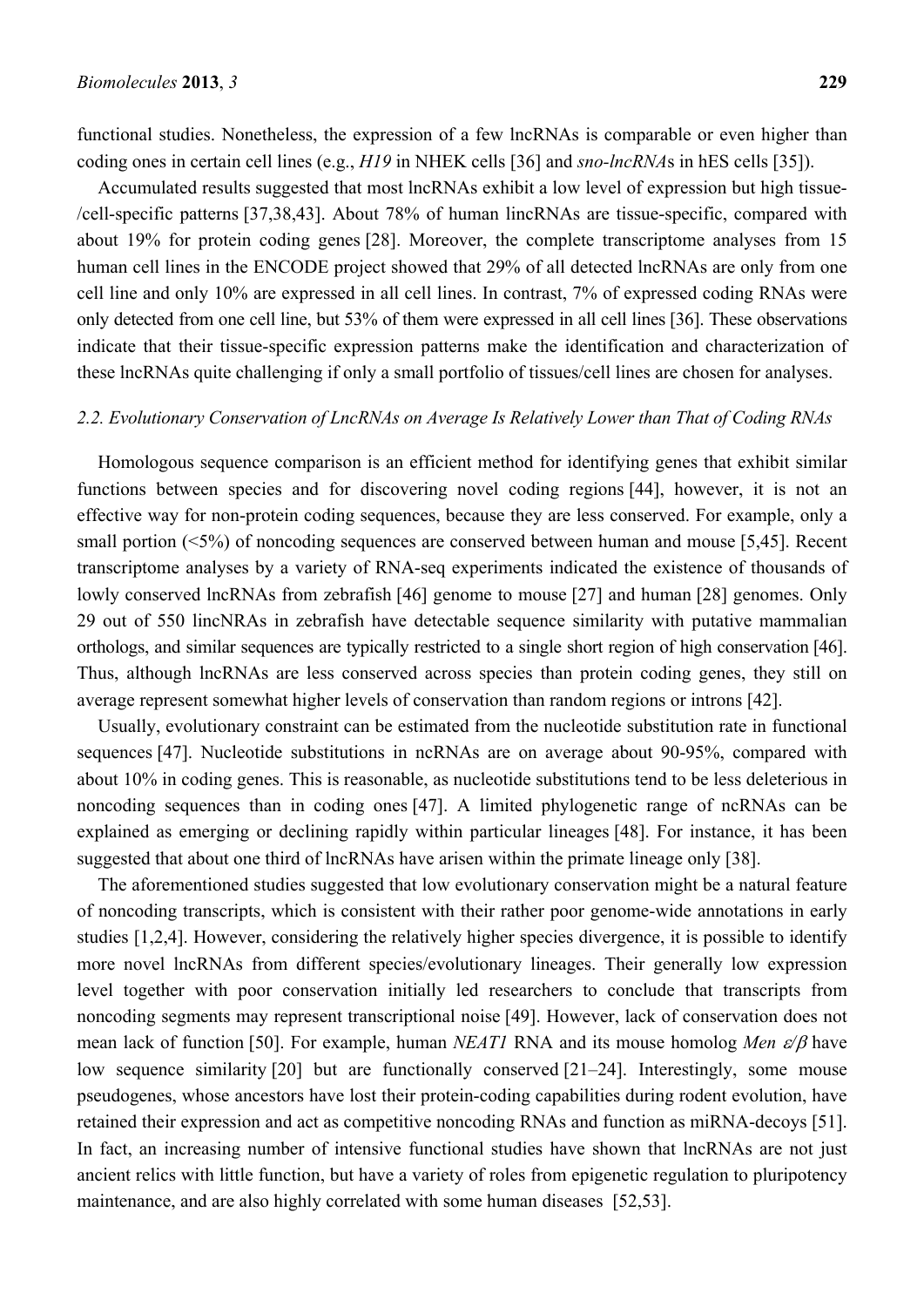functional studies. Nonetheless, the expression of a few lncRNAs is comparable or even higher than coding ones in certain cell lines (e.g., *H19* in NHEK cells [36] and *sno-lncRNA*s in hES cells [35]).

Accumulated results suggested that most lncRNAs exhibit a low level of expression but high tissue- /cell-specific patterns [37,38,43]. About 78% of human lincRNAs are tissue-specific, compared with about 19% for protein coding genes [28]. Moreover, the complete transcriptome analyses from 15 human cell lines in the ENCODE project showed that 29% of all detected lncRNAs are only from one cell line and only 10% are expressed in all cell lines. In contrast, 7% of expressed coding RNAs were only detected from one cell line, but 53% of them were expressed in all cell lines [36]. These observations indicate that their tissue-specific expression patterns make the identification and characterization of these lncRNAs quite challenging if only a small portfolio of tissues/cell lines are chosen for analyses.

#### *2.2. Evolutionary Conservation of LncRNAs on Average Is Relatively Lower than That of Coding RNAs*

Homologous sequence comparison is an efficient method for identifying genes that exhibit similar functions between species and for discovering novel coding regions [44], however, it is not an effective way for non-protein coding sequences, because they are less conserved. For example, only a small portion (<5%) of noncoding sequences are conserved between human and mouse [5,45]. Recent transcriptome analyses by a variety of RNA-seq experiments indicated the existence of thousands of lowly conserved lncRNAs from zebrafish [46] genome to mouse [27] and human [28] genomes. Only 29 out of 550 lincNRAs in zebrafish have detectable sequence similarity with putative mammalian orthologs, and similar sequences are typically restricted to a single short region of high conservation [46]. Thus, although lncRNAs are less conserved across species than protein coding genes, they still on average represent somewhat higher levels of conservation than random regions or introns [42].

Usually, evolutionary constraint can be estimated from the nucleotide substitution rate in functional sequences [47]. Nucleotide substitutions in ncRNAs are on average about 90-95%, compared with about 10% in coding genes. This is reasonable, as nucleotide substitutions tend to be less deleterious in noncoding sequences than in coding ones [47]. A limited phylogenetic range of ncRNAs can be explained as emerging or declining rapidly within particular lineages [48]. For instance, it has been suggested that about one third of lncRNAs have arisen within the primate lineage only [38].

The aforementioned studies suggested that low evolutionary conservation might be a natural feature of noncoding transcripts, which is consistent with their rather poor genome-wide annotations in early studies [1,2,4]. However, considering the relatively higher species divergence, it is possible to identify more novel lncRNAs from different species/evolutionary lineages. Their generally low expression level together with poor conservation initially led researchers to conclude that transcripts from noncoding segments may represent transcriptional noise [49]. However, lack of conservation does not mean lack of function [50]. For example, human *NEAT1* RNA and its mouse homolog *Men* ε*/*β have low sequence similarity [20] but are functionally conserved [21–24]. Interestingly, some mouse pseudogenes, whose ancestors have lost their protein-coding capabilities during rodent evolution, have retained their expression and act as competitive noncoding RNAs and function as miRNA-decoys [51]. In fact, an increasing number of intensive functional studies have shown that lncRNAs are not just ancient relics with little function, but have a variety of roles from epigenetic regulation to pluripotency maintenance, and are also highly correlated with some human diseases [52,53].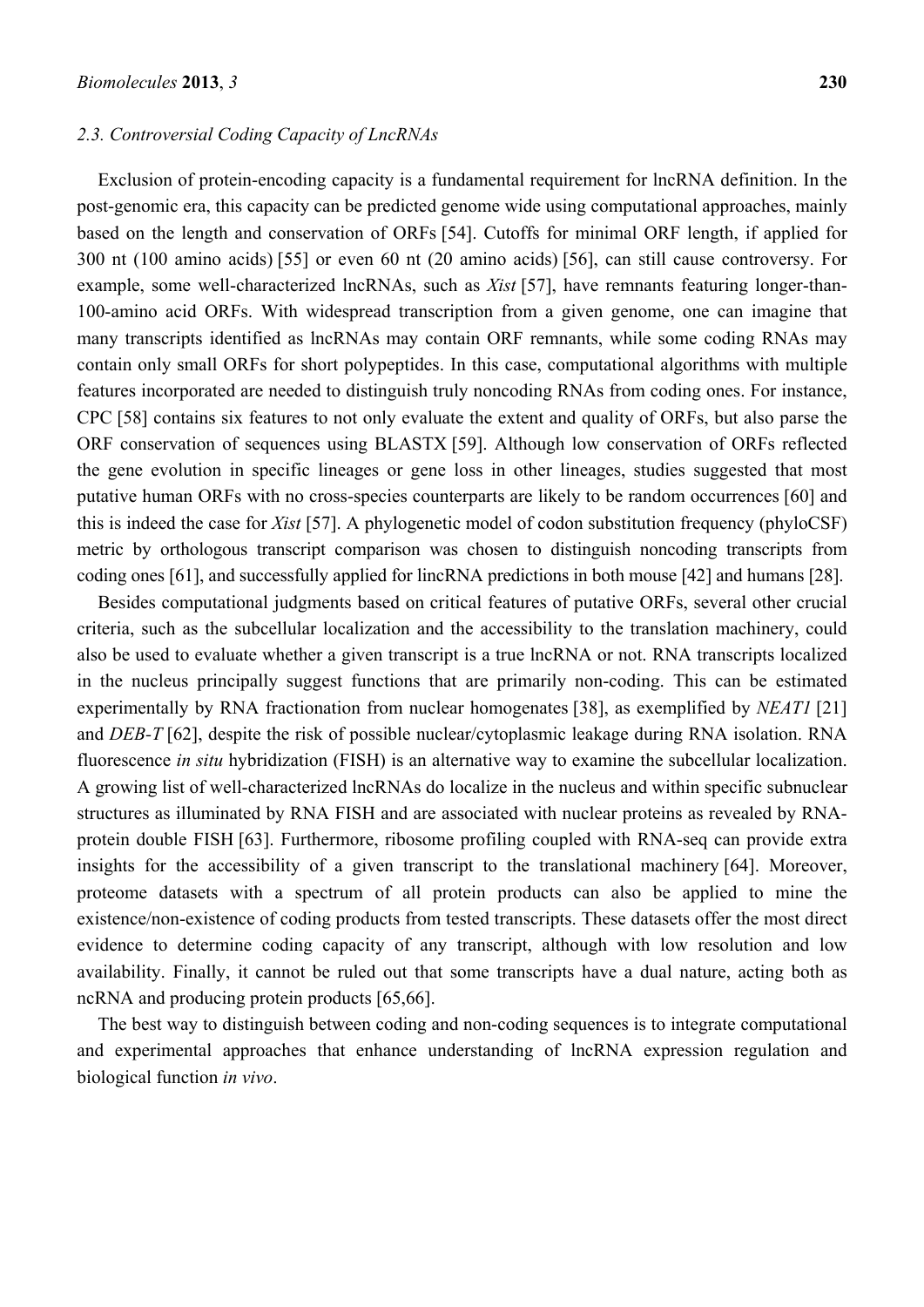#### *2.3. Controversial Coding Capacity of LncRNAs*

Exclusion of protein-encoding capacity is a fundamental requirement for lncRNA definition. In the post-genomic era, this capacity can be predicted genome wide using computational approaches, mainly based on the length and conservation of ORFs [54]. Cutoffs for minimal ORF length, if applied for 300 nt (100 amino acids) [55] or even 60 nt (20 amino acids) [56], can still cause controversy. For example, some well-characterized lncRNAs, such as *Xist* [57], have remnants featuring longer-than-100-amino acid ORFs. With widespread transcription from a given genome, one can imagine that many transcripts identified as lncRNAs may contain ORF remnants, while some coding RNAs may contain only small ORFs for short polypeptides. In this case, computational algorithms with multiple features incorporated are needed to distinguish truly noncoding RNAs from coding ones. For instance, CPC [58] contains six features to not only evaluate the extent and quality of ORFs, but also parse the ORF conservation of sequences using BLASTX [59]. Although low conservation of ORFs reflected the gene evolution in specific lineages or gene loss in other lineages, studies suggested that most putative human ORFs with no cross-species counterparts are likely to be random occurrences [60] and this is indeed the case for *Xist* [57]. A phylogenetic model of codon substitution frequency (phyloCSF) metric by orthologous transcript comparison was chosen to distinguish noncoding transcripts from coding ones [61], and successfully applied for lincRNA predictions in both mouse [42] and humans [28].

Besides computational judgments based on critical features of putative ORFs, several other crucial criteria, such as the subcellular localization and the accessibility to the translation machinery, could also be used to evaluate whether a given transcript is a true lncRNA or not. RNA transcripts localized in the nucleus principally suggest functions that are primarily non-coding. This can be estimated experimentally by RNA fractionation from nuclear homogenates [38], as exemplified by *NEAT1* [21] and *DEB-T* [62], despite the risk of possible nuclear/cytoplasmic leakage during RNA isolation. RNA fluorescence *in situ* hybridization (FISH) is an alternative way to examine the subcellular localization. A growing list of well-characterized lncRNAs do localize in the nucleus and within specific subnuclear structures as illuminated by RNA FISH and are associated with nuclear proteins as revealed by RNAprotein double FISH [63]. Furthermore, ribosome profiling coupled with RNA-seq can provide extra insights for the accessibility of a given transcript to the translational machinery [64]. Moreover, proteome datasets with a spectrum of all protein products can also be applied to mine the existence/non-existence of coding products from tested transcripts. These datasets offer the most direct evidence to determine coding capacity of any transcript, although with low resolution and low availability. Finally, it cannot be ruled out that some transcripts have a dual nature, acting both as ncRNA and producing protein products [65,66].

The best way to distinguish between coding and non-coding sequences is to integrate computational and experimental approaches that enhance understanding of lncRNA expression regulation and biological function *in vivo*.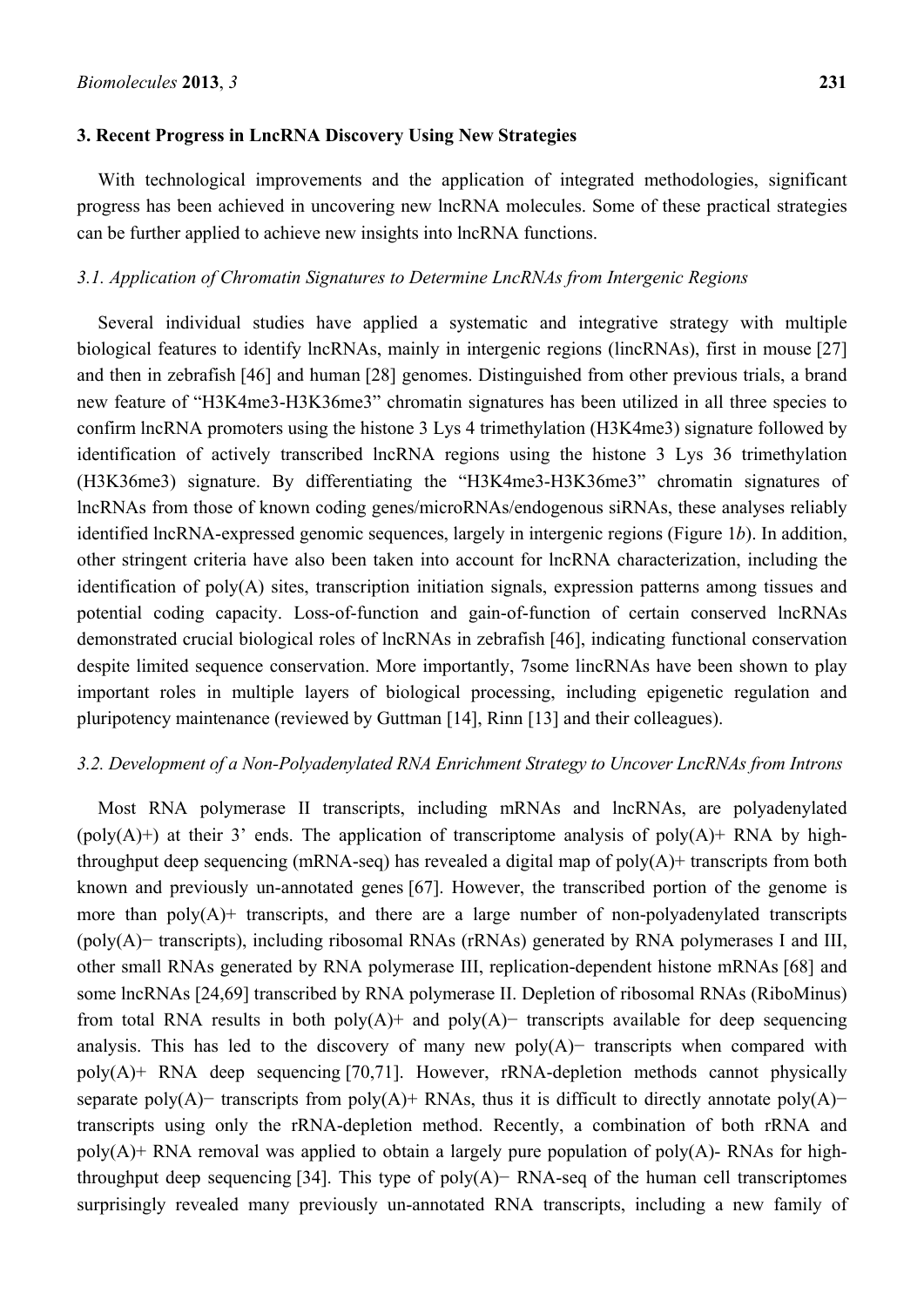#### **3. Recent Progress in LncRNA Discovery Using New Strategies**

With technological improvements and the application of integrated methodologies, significant progress has been achieved in uncovering new lncRNA molecules. Some of these practical strategies can be further applied to achieve new insights into lncRNA functions.

#### *3.1. Application of Chromatin Signatures to Determine LncRNAs from Intergenic Regions*

Several individual studies have applied a systematic and integrative strategy with multiple biological features to identify lncRNAs, mainly in intergenic regions (lincRNAs), first in mouse [27] and then in zebrafish [46] and human [28] genomes. Distinguished from other previous trials, a brand new feature of "H3K4me3-H3K36me3" chromatin signatures has been utilized in all three species to confirm lncRNA promoters using the histone 3 Lys 4 trimethylation (H3K4me3) signature followed by identification of actively transcribed lncRNA regions using the histone 3 Lys 36 trimethylation (H3K36me3) signature. By differentiating the "H3K4me3-H3K36me3" chromatin signatures of lncRNAs from those of known coding genes/microRNAs/endogenous siRNAs, these analyses reliably identified lncRNA-expressed genomic sequences, largely in intergenic regions (Figure 1*b*). In addition, other stringent criteria have also been taken into account for lncRNA characterization, including the identification of poly(A) sites, transcription initiation signals, expression patterns among tissues and potential coding capacity. Loss-of-function and gain-of-function of certain conserved lncRNAs demonstrated crucial biological roles of lncRNAs in zebrafish [46], indicating functional conservation despite limited sequence conservation. More importantly, 7some lincRNAs have been shown to play important roles in multiple layers of biological processing, including epigenetic regulation and pluripotency maintenance (reviewed by Guttman [14], Rinn [13] and their colleagues).

#### *3.2. Development of a Non-Polyadenylated RNA Enrichment Strategy to Uncover LncRNAs from Introns*

Most RNA polymerase II transcripts, including mRNAs and lncRNAs, are polyadenylated (poly $(A)$ +) at their 3' ends. The application of transcriptome analysis of poly $(A)$ + RNA by highthroughput deep sequencing (mRNA-seq) has revealed a digital map of poly(A)+ transcripts from both known and previously un-annotated genes [67]. However, the transcribed portion of the genome is more than  $poly(A)$ + transcripts, and there are a large number of non-polyadenylated transcripts (poly(A)− transcripts), including ribosomal RNAs (rRNAs) generated by RNA polymerases I and III, other small RNAs generated by RNA polymerase III, replication-dependent histone mRNAs [68] and some lncRNAs [24,69] transcribed by RNA polymerase II. Depletion of ribosomal RNAs (RiboMinus) from total RNA results in both poly $(A)$ + and poly $(A)$ − transcripts available for deep sequencing analysis. This has led to the discovery of many new poly(A)− transcripts when compared with poly(A)+ RNA deep sequencing [70,71]. However, rRNA-depletion methods cannot physically separate poly(A)− transcripts from poly(A)+ RNAs, thus it is difficult to directly annotate poly(A)− transcripts using only the rRNA-depletion method. Recently, a combination of both rRNA and  $poly(A)$ + RNA removal was applied to obtain a largely pure population of poly(A)- RNAs for highthroughput deep sequencing [34]. This type of poly(A)− RNA-seq of the human cell transcriptomes surprisingly revealed many previously un-annotated RNA transcripts, including a new family of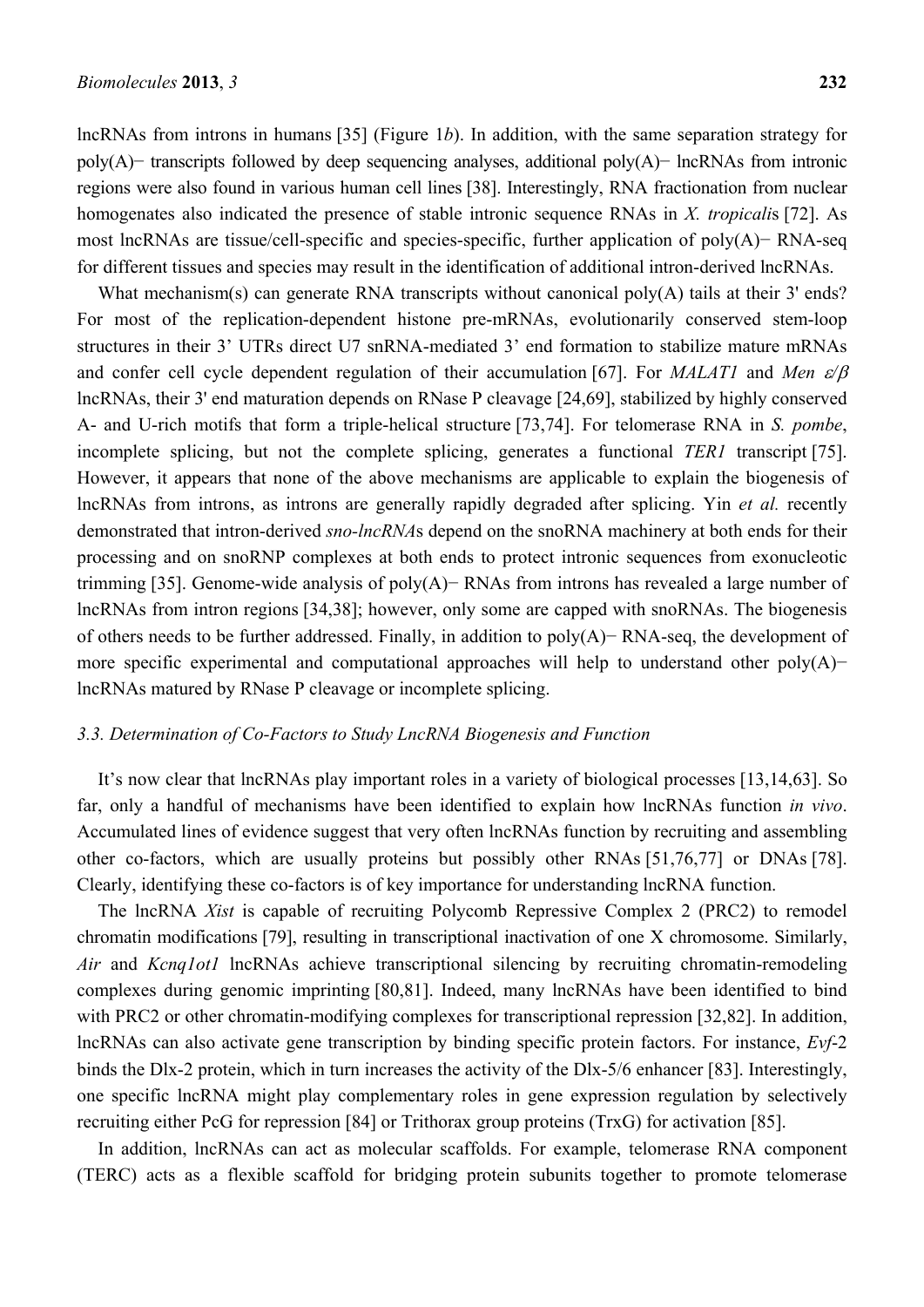lncRNAs from introns in humans [35] (Figure 1*b*). In addition, with the same separation strategy for poly(A)− transcripts followed by deep sequencing analyses, additional poly(A)− lncRNAs from intronic regions were also found in various human cell lines [38]. Interestingly, RNA fractionation from nuclear homogenates also indicated the presence of stable intronic sequence RNAs in *X. tropicali*s [72]. As most lncRNAs are tissue/cell-specific and species-specific, further application of poly(A)− RNA-seq for different tissues and species may result in the identification of additional intron-derived lncRNAs.

What mechanism(s) can generate RNA transcripts without canonical poly(A) tails at their 3' ends? For most of the replication-dependent histone pre-mRNAs, evolutionarily conserved stem-loop structures in their 3' UTRs direct U7 snRNA-mediated 3' end formation to stabilize mature mRNAs and confer cell cycle dependent regulation of their accumulation [67]. For *MALAT1* and *Men* ε*/*β lncRNAs, their 3' end maturation depends on RNase P cleavage [24,69], stabilized by highly conserved A- and U-rich motifs that form a triple-helical structure [73,74]. For telomerase RNA in *S. pombe*, incomplete splicing, but not the complete splicing, generates a functional *TER1* transcript [75]. However, it appears that none of the above mechanisms are applicable to explain the biogenesis of lncRNAs from introns, as introns are generally rapidly degraded after splicing. Yin *et al.* recently demonstrated that intron-derived *sno-lncRNA*s depend on the snoRNA machinery at both ends for their processing and on snoRNP complexes at both ends to protect intronic sequences from exonucleotic trimming [35]. Genome-wide analysis of poly(A)− RNAs from introns has revealed a large number of lncRNAs from intron regions [34,38]; however, only some are capped with snoRNAs. The biogenesis of others needs to be further addressed. Finally, in addition to poly(A)− RNA-seq, the development of more specific experimental and computational approaches will help to understand other poly(A)− lncRNAs matured by RNase P cleavage or incomplete splicing.

#### *3.3. Determination of Co-Factors to Study LncRNA Biogenesis and Function*

It's now clear that lncRNAs play important roles in a variety of biological processes [13,14,63]. So far, only a handful of mechanisms have been identified to explain how lncRNAs function *in vivo*. Accumulated lines of evidence suggest that very often lncRNAs function by recruiting and assembling other co-factors, which are usually proteins but possibly other RNAs [51,76,77] or DNAs [78]. Clearly, identifying these co-factors is of key importance for understanding lncRNA function.

The lncRNA *Xist* is capable of recruiting Polycomb Repressive Complex 2 (PRC2) to remodel chromatin modifications [79], resulting in transcriptional inactivation of one X chromosome. Similarly, *Air* and *Kcnq1ot1* lncRNAs achieve transcriptional silencing by recruiting chromatin-remodeling complexes during genomic imprinting [80,81]. Indeed, many lncRNAs have been identified to bind with PRC2 or other chromatin-modifying complexes for transcriptional repression [32,82]. In addition, lncRNAs can also activate gene transcription by binding specific protein factors. For instance, *Evf*-2 binds the Dlx-2 protein, which in turn increases the activity of the Dlx-5/6 enhancer [83]. Interestingly, one specific lncRNA might play complementary roles in gene expression regulation by selectively recruiting either PcG for repression [84] or Trithorax group proteins (TrxG) for activation [85].

In addition, lncRNAs can act as molecular scaffolds. For example, telomerase RNA component (TERC) acts as a flexible scaffold for bridging protein subunits together to promote telomerase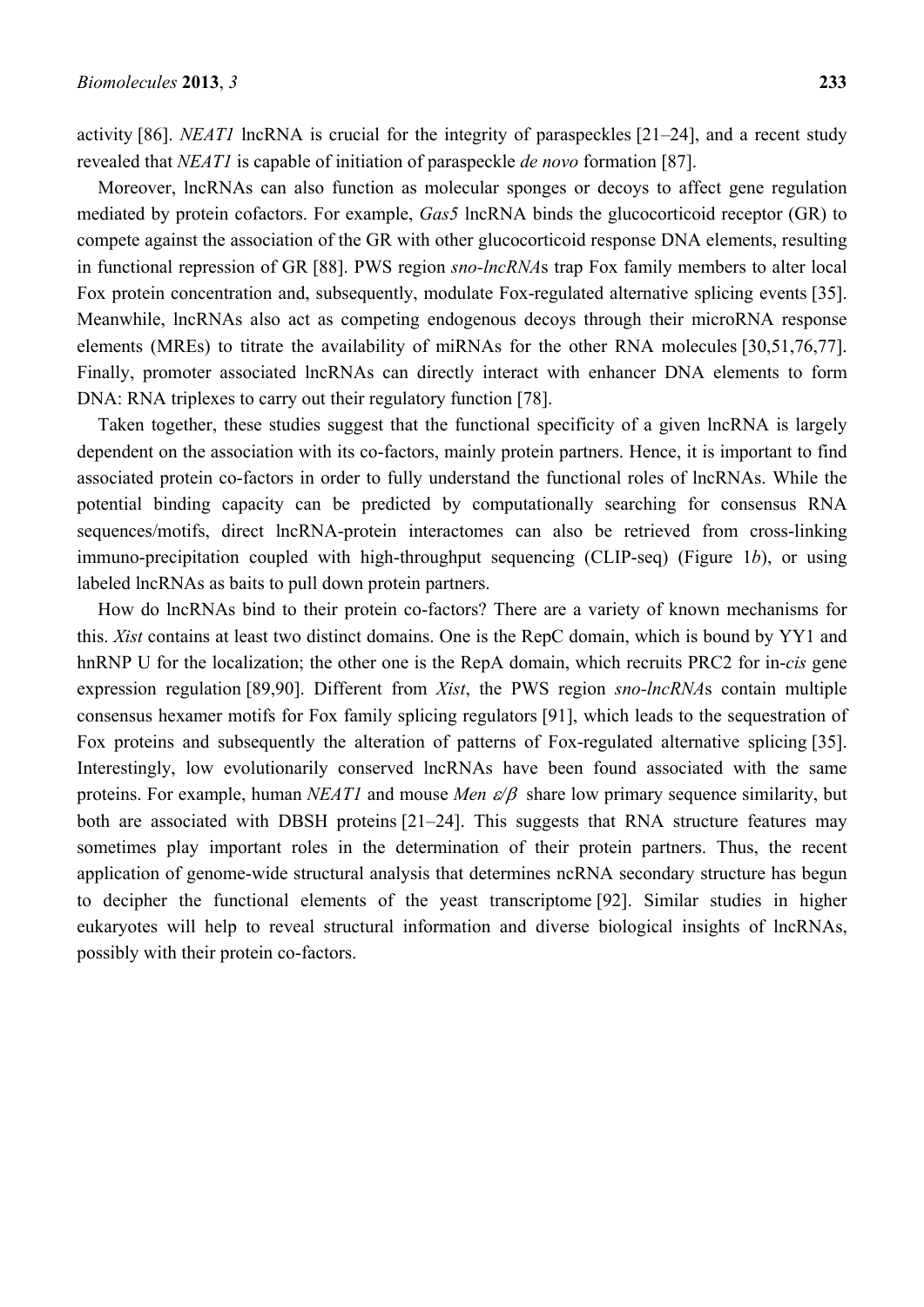activity [86]. *NEAT1* lncRNA is crucial for the integrity of paraspeckles [21–24], and a recent study revealed that *NEAT1* is capable of initiation of paraspeckle *de novo* formation [87].

Moreover, lncRNAs can also function as molecular sponges or decoys to affect gene regulation mediated by protein cofactors. For example, *Gas5* lncRNA binds the glucocorticoid receptor (GR) to compete against the association of the GR with other glucocorticoid response DNA elements, resulting in functional repression of GR [88]. PWS region *sno-lncRNA*s trap Fox family members to alter local Fox protein concentration and, subsequently, modulate Fox-regulated alternative splicing events [35]. Meanwhile, lncRNAs also act as competing endogenous decoys through their microRNA response elements (MREs) to titrate the availability of miRNAs for the other RNA molecules [30,51,76,77]. Finally, promoter associated lncRNAs can directly interact with enhancer DNA elements to form DNA: RNA triplexes to carry out their regulatory function [78].

Taken together, these studies suggest that the functional specificity of a given lncRNA is largely dependent on the association with its co-factors, mainly protein partners. Hence, it is important to find associated protein co-factors in order to fully understand the functional roles of lncRNAs. While the potential binding capacity can be predicted by computationally searching for consensus RNA sequences/motifs, direct lncRNA-protein interactomes can also be retrieved from cross-linking immuno-precipitation coupled with high-throughput sequencing (CLIP-seq) (Figure 1*b*), or using labeled lncRNAs as baits to pull down protein partners.

How do lncRNAs bind to their protein co-factors? There are a variety of known mechanisms for this. *Xist* contains at least two distinct domains. One is the RepC domain, which is bound by YY1 and hnRNP U for the localization; the other one is the RepA domain, which recruits PRC2 for in-*cis* gene expression regulation [89,90]. Different from *Xist*, the PWS region *sno-lncRNA*s contain multiple consensus hexamer motifs for Fox family splicing regulators [91], which leads to the sequestration of Fox proteins and subsequently the alteration of patterns of Fox-regulated alternative splicing [35]. Interestingly, low evolutionarily conserved lncRNAs have been found associated with the same proteins. For example, human *NEAT1* and mouse *Men* ε*/*β share low primary sequence similarity, but both are associated with DBSH proteins [21–24]. This suggests that RNA structure features may sometimes play important roles in the determination of their protein partners. Thus, the recent application of genome-wide structural analysis that determines ncRNA secondary structure has begun to decipher the functional elements of the yeast transcriptome [92]. Similar studies in higher eukaryotes will help to reveal structural information and diverse biological insights of lncRNAs, possibly with their protein co-factors.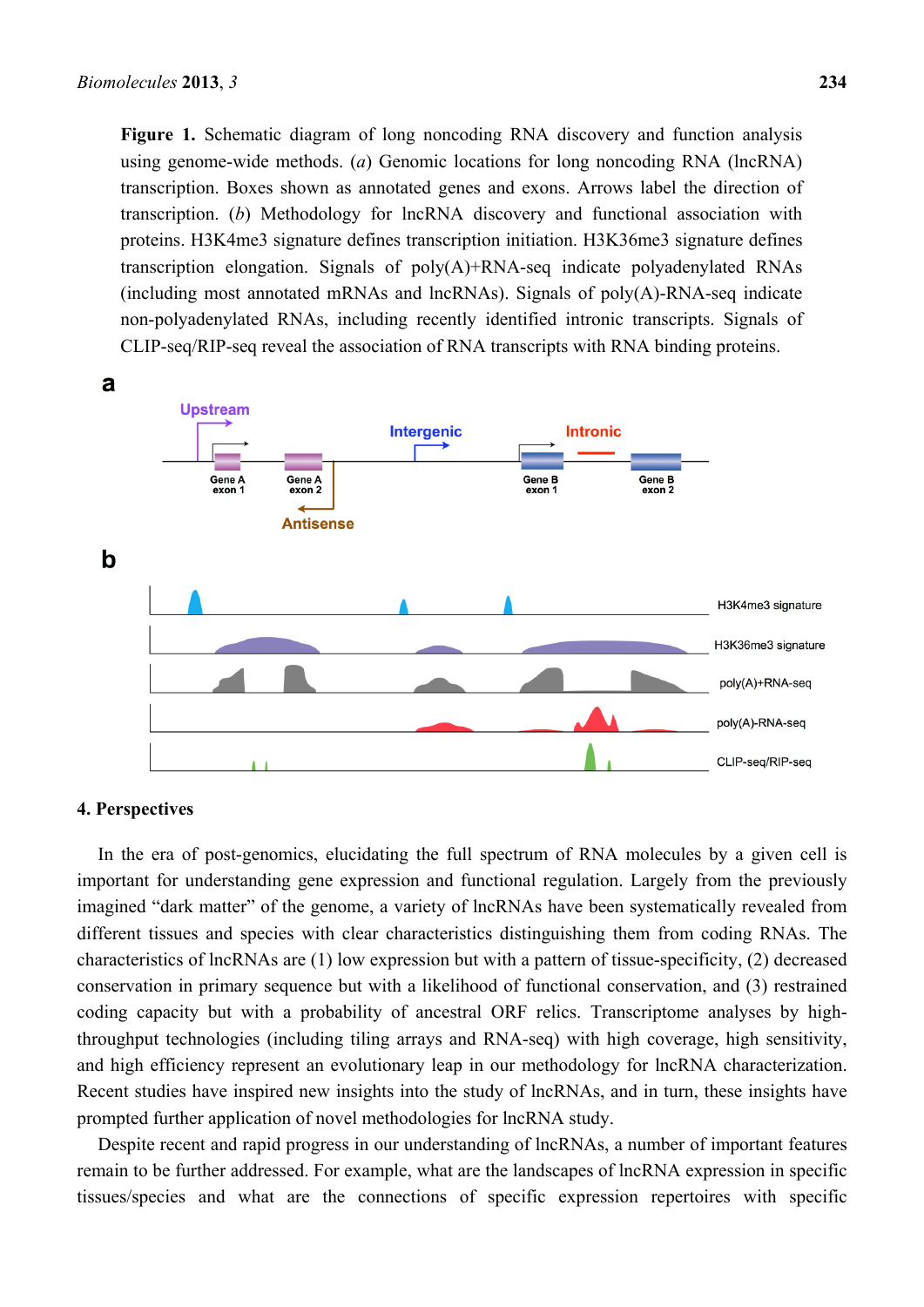**Figure 1.** Schematic diagram of long noncoding RNA discovery and function analysis using genome-wide methods. (*a*) Genomic locations for long noncoding RNA (lncRNA) transcription. Boxes shown as annotated genes and exons. Arrows label the direction of transcription. (*b*) Methodology for lncRNA discovery and functional association with proteins. H3K4me3 signature defines transcription initiation. H3K36me3 signature defines transcription elongation. Signals of poly(A)+RNA-seq indicate polyadenylated RNAs (including most annotated mRNAs and lncRNAs). Signals of poly(A)-RNA-seq indicate non-polyadenylated RNAs, including recently identified intronic transcripts. Signals of CLIP-seq/RIP-seq reveal the association of RNA transcripts with RNA binding proteins.



## **4. Perspectives**

In the era of post-genomics, elucidating the full spectrum of RNA molecules by a given cell is important for understanding gene expression and functional regulation. Largely from the previously imagined "dark matter" of the genome, a variety of lncRNAs have been systematically revealed from different tissues and species with clear characteristics distinguishing them from coding RNAs. The characteristics of lncRNAs are (1) low expression but with a pattern of tissue-specificity, (2) decreased conservation in primary sequence but with a likelihood of functional conservation, and (3) restrained coding capacity but with a probability of ancestral ORF relics. Transcriptome analyses by highthroughput technologies (including tiling arrays and RNA-seq) with high coverage, high sensitivity, and high efficiency represent an evolutionary leap in our methodology for lncRNA characterization. Recent studies have inspired new insights into the study of lncRNAs, and in turn, these insights have prompted further application of novel methodologies for lncRNA study.

Despite recent and rapid progress in our understanding of lncRNAs, a number of important features remain to be further addressed. For example, what are the landscapes of lncRNA expression in specific tissues/species and what are the connections of specific expression repertoires with specific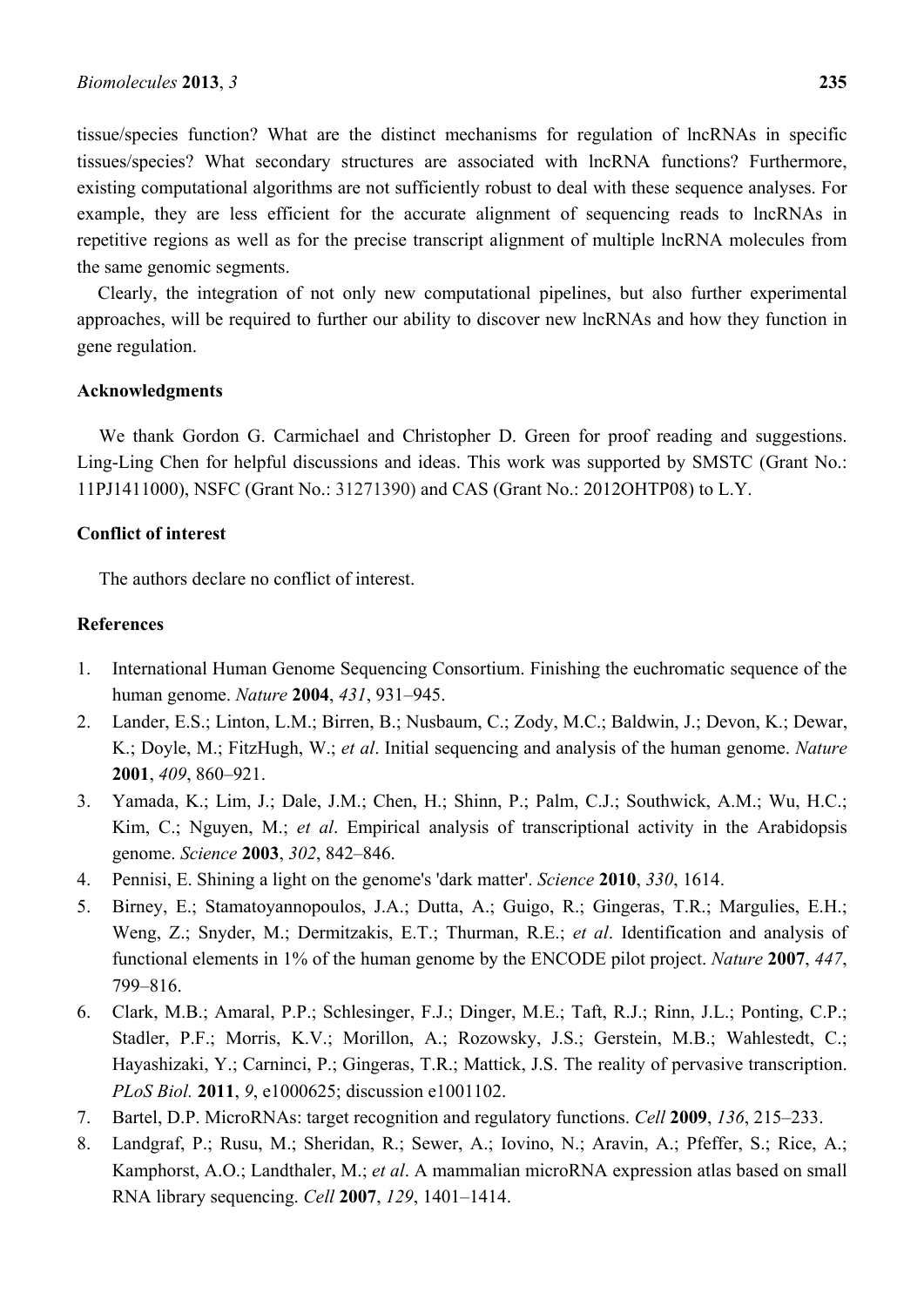tissue/species function? What are the distinct mechanisms for regulation of lncRNAs in specific tissues/species? What secondary structures are associated with lncRNA functions? Furthermore, existing computational algorithms are not sufficiently robust to deal with these sequence analyses. For example, they are less efficient for the accurate alignment of sequencing reads to lncRNAs in repetitive regions as well as for the precise transcript alignment of multiple lncRNA molecules from the same genomic segments.

Clearly, the integration of not only new computational pipelines, but also further experimental approaches, will be required to further our ability to discover new lncRNAs and how they function in gene regulation.

## **Acknowledgments**

We thank Gordon G. Carmichael and Christopher D. Green for proof reading and suggestions. Ling-Ling Chen for helpful discussions and ideas. This work was supported by SMSTC (Grant No.: 11PJ1411000), NSFC (Grant No.: 31271390) and CAS (Grant No.: 2012OHTP08) to L.Y.

## **Conflict of interest**

The authors declare no conflict of interest.

## **References**

- 1. International Human Genome Sequencing Consortium. Finishing the euchromatic sequence of the human genome. *Nature* **2004**, *431*, 931–945.
- 2. Lander, E.S.; Linton, L.M.; Birren, B.; Nusbaum, C.; Zody, M.C.; Baldwin, J.; Devon, K.; Dewar, K.; Doyle, M.; FitzHugh, W.; *et al*. Initial sequencing and analysis of the human genome. *Nature*  **2001**, *409*, 860–921.
- 3. Yamada, K.; Lim, J.; Dale, J.M.; Chen, H.; Shinn, P.; Palm, C.J.; Southwick, A.M.; Wu, H.C.; Kim, C.; Nguyen, M.; *et al*. Empirical analysis of transcriptional activity in the Arabidopsis genome. *Science* **2003**, *302*, 842–846.
- 4. Pennisi, E. Shining a light on the genome's 'dark matter'. *Science* **2010**, *330*, 1614.
- 5. Birney, E.; Stamatoyannopoulos, J.A.; Dutta, A.; Guigo, R.; Gingeras, T.R.; Margulies, E.H.; Weng, Z.; Snyder, M.; Dermitzakis, E.T.; Thurman, R.E.; *et al*. Identification and analysis of functional elements in 1% of the human genome by the ENCODE pilot project. *Nature* **2007**, *447*, 799–816.
- 6. Clark, M.B.; Amaral, P.P.; Schlesinger, F.J.; Dinger, M.E.; Taft, R.J.; Rinn, J.L.; Ponting, C.P.; Stadler, P.F.; Morris, K.V.; Morillon, A.; Rozowsky, J.S.; Gerstein, M.B.; Wahlestedt, C.; Hayashizaki, Y.; Carninci, P.; Gingeras, T.R.; Mattick, J.S. The reality of pervasive transcription. *PLoS Biol.* **2011**, *9*, e1000625; discussion e1001102.
- 7. Bartel, D.P. MicroRNAs: target recognition and regulatory functions. *Cell* **2009**, *136*, 215–233.
- 8. Landgraf, P.; Rusu, M.; Sheridan, R.; Sewer, A.; Iovino, N.; Aravin, A.; Pfeffer, S.; Rice, A.; Kamphorst, A.O.; Landthaler, M.; *et al*. A mammalian microRNA expression atlas based on small RNA library sequencing. *Cell* **2007**, *129*, 1401–1414.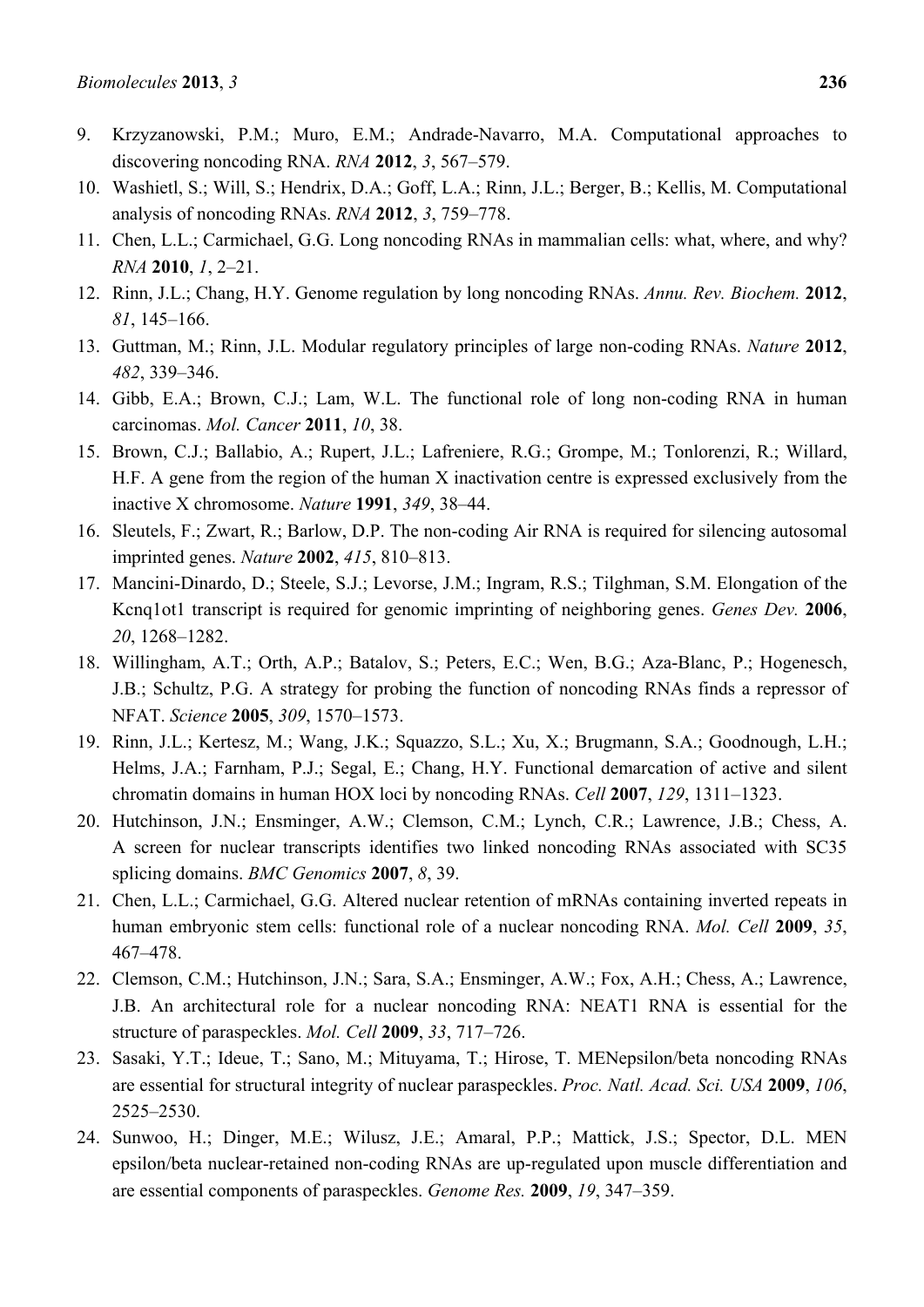- 9. Krzyzanowski, P.M.; Muro, E.M.; Andrade-Navarro, M.A. Computational approaches to discovering noncoding RNA. *RNA* **2012**, *3*, 567–579.
- 10. Washietl, S.; Will, S.; Hendrix, D.A.; Goff, L.A.; Rinn, J.L.; Berger, B.; Kellis, M. Computational analysis of noncoding RNAs. *RNA* **2012**, *3*, 759–778.
- 11. Chen, L.L.; Carmichael, G.G. Long noncoding RNAs in mammalian cells: what, where, and why? *RNA* **2010**, *1*, 2–21.
- 12. Rinn, J.L.; Chang, H.Y. Genome regulation by long noncoding RNAs. *Annu. Rev. Biochem.* **2012**, *81*, 145–166.
- 13. Guttman, M.; Rinn, J.L. Modular regulatory principles of large non-coding RNAs. *Nature* **2012**, *482*, 339–346.
- 14. Gibb, E.A.; Brown, C.J.; Lam, W.L. The functional role of long non-coding RNA in human carcinomas. *Mol. Cancer* **2011**, *10*, 38.
- 15. Brown, C.J.; Ballabio, A.; Rupert, J.L.; Lafreniere, R.G.; Grompe, M.; Tonlorenzi, R.; Willard, H.F. A gene from the region of the human X inactivation centre is expressed exclusively from the inactive X chromosome. *Nature* **1991**, *349*, 38–44.
- 16. Sleutels, F.; Zwart, R.; Barlow, D.P. The non-coding Air RNA is required for silencing autosomal imprinted genes. *Nature* **2002**, *415*, 810–813.
- 17. Mancini-Dinardo, D.; Steele, S.J.; Levorse, J.M.; Ingram, R.S.; Tilghman, S.M. Elongation of the Kcnq1ot1 transcript is required for genomic imprinting of neighboring genes. *Genes Dev.* **2006**, *20*, 1268–1282.
- 18. Willingham, A.T.; Orth, A.P.; Batalov, S.; Peters, E.C.; Wen, B.G.; Aza-Blanc, P.; Hogenesch, J.B.; Schultz, P.G. A strategy for probing the function of noncoding RNAs finds a repressor of NFAT. *Science* **2005**, *309*, 1570–1573.
- 19. Rinn, J.L.; Kertesz, M.; Wang, J.K.; Squazzo, S.L.; Xu, X.; Brugmann, S.A.; Goodnough, L.H.; Helms, J.A.; Farnham, P.J.; Segal, E.; Chang, H.Y. Functional demarcation of active and silent chromatin domains in human HOX loci by noncoding RNAs. *Cell* **2007**, *129*, 1311–1323.
- 20. Hutchinson, J.N.; Ensminger, A.W.; Clemson, C.M.; Lynch, C.R.; Lawrence, J.B.; Chess, A. A screen for nuclear transcripts identifies two linked noncoding RNAs associated with SC35 splicing domains. *BMC Genomics* **2007**, *8*, 39.
- 21. Chen, L.L.; Carmichael, G.G. Altered nuclear retention of mRNAs containing inverted repeats in human embryonic stem cells: functional role of a nuclear noncoding RNA. *Mol. Cell* **2009**, *35*, 467–478.
- 22. Clemson, C.M.; Hutchinson, J.N.; Sara, S.A.; Ensminger, A.W.; Fox, A.H.; Chess, A.; Lawrence, J.B. An architectural role for a nuclear noncoding RNA: NEAT1 RNA is essential for the structure of paraspeckles. *Mol. Cell* **2009**, *33*, 717–726.
- 23. Sasaki, Y.T.; Ideue, T.; Sano, M.; Mituyama, T.; Hirose, T. MENepsilon/beta noncoding RNAs are essential for structural integrity of nuclear paraspeckles. *Proc. Natl. Acad. Sci. USA* **2009**, *106*, 2525–2530.
- 24. Sunwoo, H.; Dinger, M.E.; Wilusz, J.E.; Amaral, P.P.; Mattick, J.S.; Spector, D.L. MEN epsilon/beta nuclear-retained non-coding RNAs are up-regulated upon muscle differentiation and are essential components of paraspeckles. *Genome Res.* **2009**, *19*, 347–359.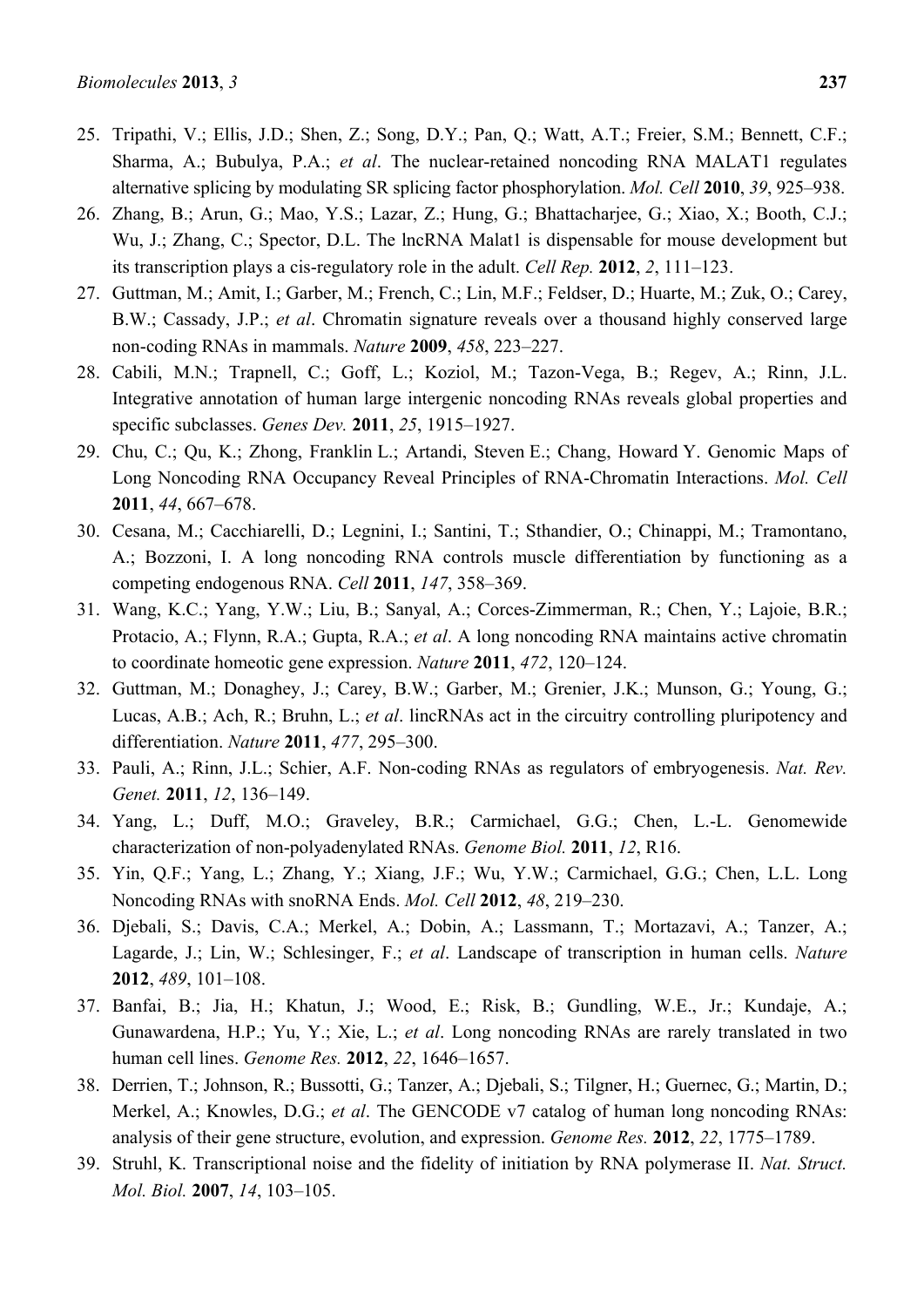- 25. Tripathi, V.; Ellis, J.D.; Shen, Z.; Song, D.Y.; Pan, Q.; Watt, A.T.; Freier, S.M.; Bennett, C.F.; Sharma, A.; Bubulya, P.A.; *et al*. The nuclear-retained noncoding RNA MALAT1 regulates alternative splicing by modulating SR splicing factor phosphorylation. *Mol. Cell* **2010**, *39*, 925–938.
- 26. Zhang, B.; Arun, G.; Mao, Y.S.; Lazar, Z.; Hung, G.; Bhattacharjee, G.; Xiao, X.; Booth, C.J.; Wu, J.; Zhang, C.; Spector, D.L. The lncRNA Malat1 is dispensable for mouse development but its transcription plays a cis-regulatory role in the adult. *Cell Rep.* **2012**, *2*, 111–123.
- 27. Guttman, M.; Amit, I.; Garber, M.; French, C.; Lin, M.F.; Feldser, D.; Huarte, M.; Zuk, O.; Carey, B.W.; Cassady, J.P.; *et al*. Chromatin signature reveals over a thousand highly conserved large non-coding RNAs in mammals. *Nature* **2009**, *458*, 223–227.
- 28. Cabili, M.N.; Trapnell, C.; Goff, L.; Koziol, M.; Tazon-Vega, B.; Regev, A.; Rinn, J.L. Integrative annotation of human large intergenic noncoding RNAs reveals global properties and specific subclasses. *Genes Dev.* **2011**, *25*, 1915–1927.
- 29. Chu, C.; Qu, K.; Zhong, Franklin L.; Artandi, Steven E.; Chang, Howard Y. Genomic Maps of Long Noncoding RNA Occupancy Reveal Principles of RNA-Chromatin Interactions. *Mol. Cell*  **2011**, *44*, 667–678.
- 30. Cesana, M.; Cacchiarelli, D.; Legnini, I.; Santini, T.; Sthandier, O.; Chinappi, M.; Tramontano, A.; Bozzoni, I. A long noncoding RNA controls muscle differentiation by functioning as a competing endogenous RNA. *Cell* **2011**, *147*, 358–369.
- 31. Wang, K.C.; Yang, Y.W.; Liu, B.; Sanyal, A.; Corces-Zimmerman, R.; Chen, Y.; Lajoie, B.R.; Protacio, A.; Flynn, R.A.; Gupta, R.A.; *et al*. A long noncoding RNA maintains active chromatin to coordinate homeotic gene expression. *Nature* **2011**, *472*, 120–124.
- 32. Guttman, M.; Donaghey, J.; Carey, B.W.; Garber, M.; Grenier, J.K.; Munson, G.; Young, G.; Lucas, A.B.; Ach, R.; Bruhn, L.; *et al*. lincRNAs act in the circuitry controlling pluripotency and differentiation. *Nature* **2011**, *477*, 295–300.
- 33. Pauli, A.; Rinn, J.L.; Schier, A.F. Non-coding RNAs as regulators of embryogenesis. *Nat. Rev. Genet.* **2011**, *12*, 136–149.
- 34. Yang, L.; Duff, M.O.; Graveley, B.R.; Carmichael, G.G.; Chen, L.-L. Genomewide characterization of non-polyadenylated RNAs. *Genome Biol.* **2011**, *12*, R16.
- 35. Yin, Q.F.; Yang, L.; Zhang, Y.; Xiang, J.F.; Wu, Y.W.; Carmichael, G.G.; Chen, L.L. Long Noncoding RNAs with snoRNA Ends. *Mol. Cell* **2012**, *48*, 219–230.
- 36. Djebali, S.; Davis, C.A.; Merkel, A.; Dobin, A.; Lassmann, T.; Mortazavi, A.; Tanzer, A.; Lagarde, J.; Lin, W.; Schlesinger, F.; *et al*. Landscape of transcription in human cells. *Nature*  **2012**, *489*, 101–108.
- 37. Banfai, B.; Jia, H.; Khatun, J.; Wood, E.; Risk, B.; Gundling, W.E., Jr.; Kundaje, A.; Gunawardena, H.P.; Yu, Y.; Xie, L.; *et al*. Long noncoding RNAs are rarely translated in two human cell lines. *Genome Res.* **2012**, *22*, 1646–1657.
- 38. Derrien, T.; Johnson, R.; Bussotti, G.; Tanzer, A.; Djebali, S.; Tilgner, H.; Guernec, G.; Martin, D.; Merkel, A.; Knowles, D.G.; *et al*. The GENCODE v7 catalog of human long noncoding RNAs: analysis of their gene structure, evolution, and expression. *Genome Res.* **2012**, *22*, 1775–1789.
- 39. Struhl, K. Transcriptional noise and the fidelity of initiation by RNA polymerase II. *Nat. Struct. Mol. Biol.* **2007**, *14*, 103–105.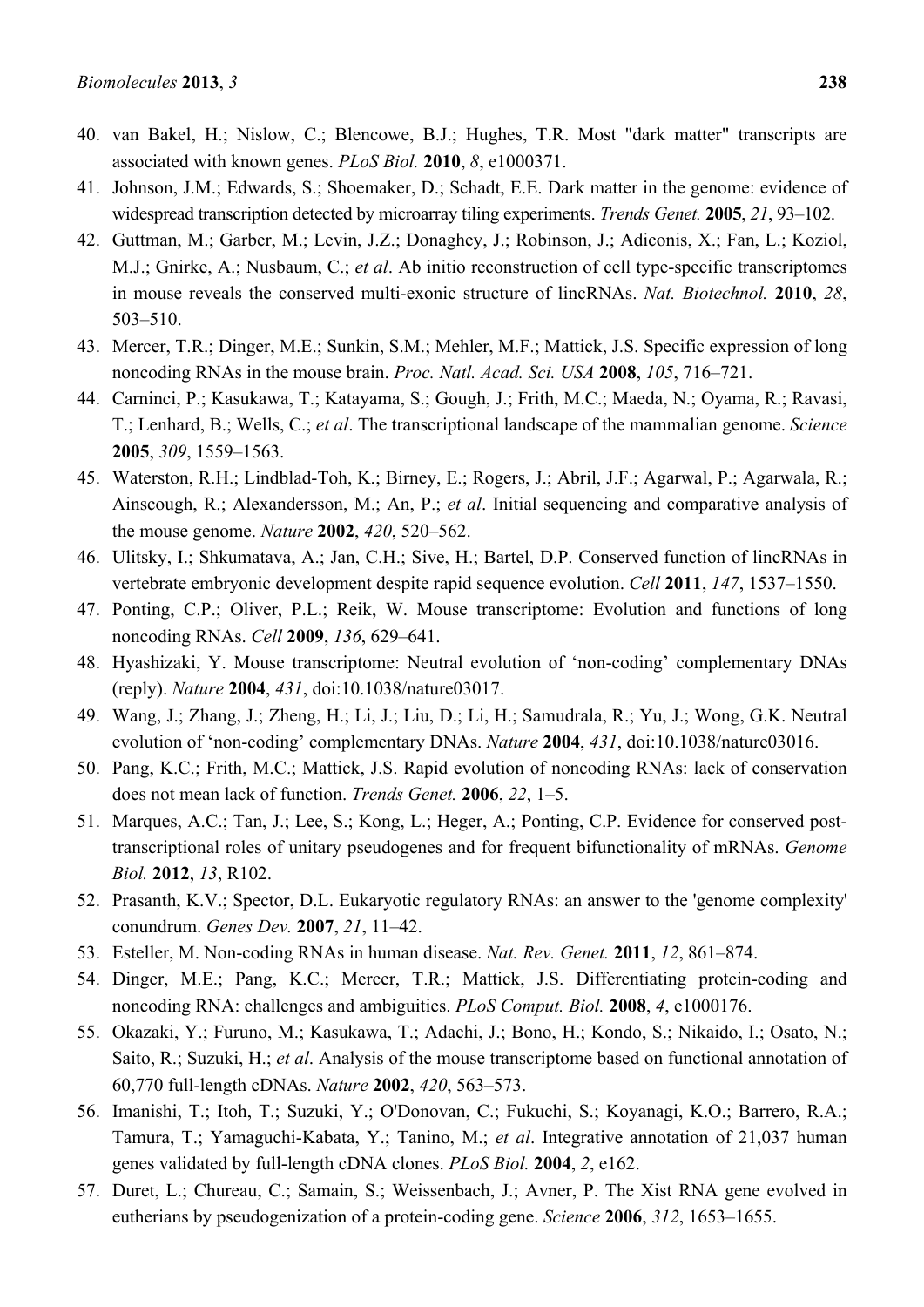- 40. van Bakel, H.; Nislow, C.; Blencowe, B.J.; Hughes, T.R. Most "dark matter" transcripts are associated with known genes. *PLoS Biol.* **2010**, *8*, e1000371.
- 41. Johnson, J.M.; Edwards, S.; Shoemaker, D.; Schadt, E.E. Dark matter in the genome: evidence of widespread transcription detected by microarray tiling experiments. *Trends Genet.* **2005**, *21*, 93–102.
- 42. Guttman, M.; Garber, M.; Levin, J.Z.; Donaghey, J.; Robinson, J.; Adiconis, X.; Fan, L.; Koziol, M.J.; Gnirke, A.; Nusbaum, C.; *et al*. Ab initio reconstruction of cell type-specific transcriptomes in mouse reveals the conserved multi-exonic structure of lincRNAs. *Nat. Biotechnol.* **2010**, *28*, 503–510.
- 43. Mercer, T.R.; Dinger, M.E.; Sunkin, S.M.; Mehler, M.F.; Mattick, J.S. Specific expression of long noncoding RNAs in the mouse brain. *Proc. Natl. Acad. Sci. USA* **2008**, *105*, 716–721.
- 44. Carninci, P.; Kasukawa, T.; Katayama, S.; Gough, J.; Frith, M.C.; Maeda, N.; Oyama, R.; Ravasi, T.; Lenhard, B.; Wells, C.; *et al*. The transcriptional landscape of the mammalian genome. *Science*  **2005**, *309*, 1559–1563.
- 45. Waterston, R.H.; Lindblad-Toh, K.; Birney, E.; Rogers, J.; Abril, J.F.; Agarwal, P.; Agarwala, R.; Ainscough, R.; Alexandersson, M.; An, P.; *et al*. Initial sequencing and comparative analysis of the mouse genome. *Nature* **2002**, *420*, 520–562.
- 46. Ulitsky, I.; Shkumatava, A.; Jan, C.H.; Sive, H.; Bartel, D.P. Conserved function of lincRNAs in vertebrate embryonic development despite rapid sequence evolution. *Cell* **2011**, *147*, 1537–1550.
- 47. Ponting, C.P.; Oliver, P.L.; Reik, W. Mouse transcriptome: Evolution and functions of long noncoding RNAs. *Cell* **2009**, *136*, 629–641.
- 48. Hyashizaki, Y. Mouse transcriptome: Neutral evolution of 'non-coding' complementary DNAs (reply). *Nature* **2004**, *431*, doi:10.1038/nature03017.
- 49. Wang, J.; Zhang, J.; Zheng, H.; Li, J.; Liu, D.; Li, H.; Samudrala, R.; Yu, J.; Wong, G.K. Neutral evolution of 'non-coding' complementary DNAs. *Nature* **2004**, *431*, doi:10.1038/nature03016.
- 50. Pang, K.C.; Frith, M.C.; Mattick, J.S. Rapid evolution of noncoding RNAs: lack of conservation does not mean lack of function. *Trends Genet.* **2006**, *22*, 1–5.
- 51. Marques, A.C.; Tan, J.; Lee, S.; Kong, L.; Heger, A.; Ponting, C.P. Evidence for conserved posttranscriptional roles of unitary pseudogenes and for frequent bifunctionality of mRNAs. *Genome Biol.* **2012**, *13*, R102.
- 52. Prasanth, K.V.; Spector, D.L. Eukaryotic regulatory RNAs: an answer to the 'genome complexity' conundrum. *Genes Dev.* **2007**, *21*, 11–42.
- 53. Esteller, M. Non-coding RNAs in human disease. *Nat. Rev. Genet.* **2011**, *12*, 861–874.
- 54. Dinger, M.E.; Pang, K.C.; Mercer, T.R.; Mattick, J.S. Differentiating protein-coding and noncoding RNA: challenges and ambiguities. *PLoS Comput. Biol.* **2008**, *4*, e1000176.
- 55. Okazaki, Y.; Furuno, M.; Kasukawa, T.; Adachi, J.; Bono, H.; Kondo, S.; Nikaido, I.; Osato, N.; Saito, R.; Suzuki, H.; *et al*. Analysis of the mouse transcriptome based on functional annotation of 60,770 full-length cDNAs. *Nature* **2002**, *420*, 563–573.
- 56. Imanishi, T.; Itoh, T.; Suzuki, Y.; O'Donovan, C.; Fukuchi, S.; Koyanagi, K.O.; Barrero, R.A.; Tamura, T.; Yamaguchi-Kabata, Y.; Tanino, M.; *et al*. Integrative annotation of 21,037 human genes validated by full-length cDNA clones. *PLoS Biol.* **2004**, *2*, e162.
- 57. Duret, L.; Chureau, C.; Samain, S.; Weissenbach, J.; Avner, P. The Xist RNA gene evolved in eutherians by pseudogenization of a protein-coding gene. *Science* **2006**, *312*, 1653–1655.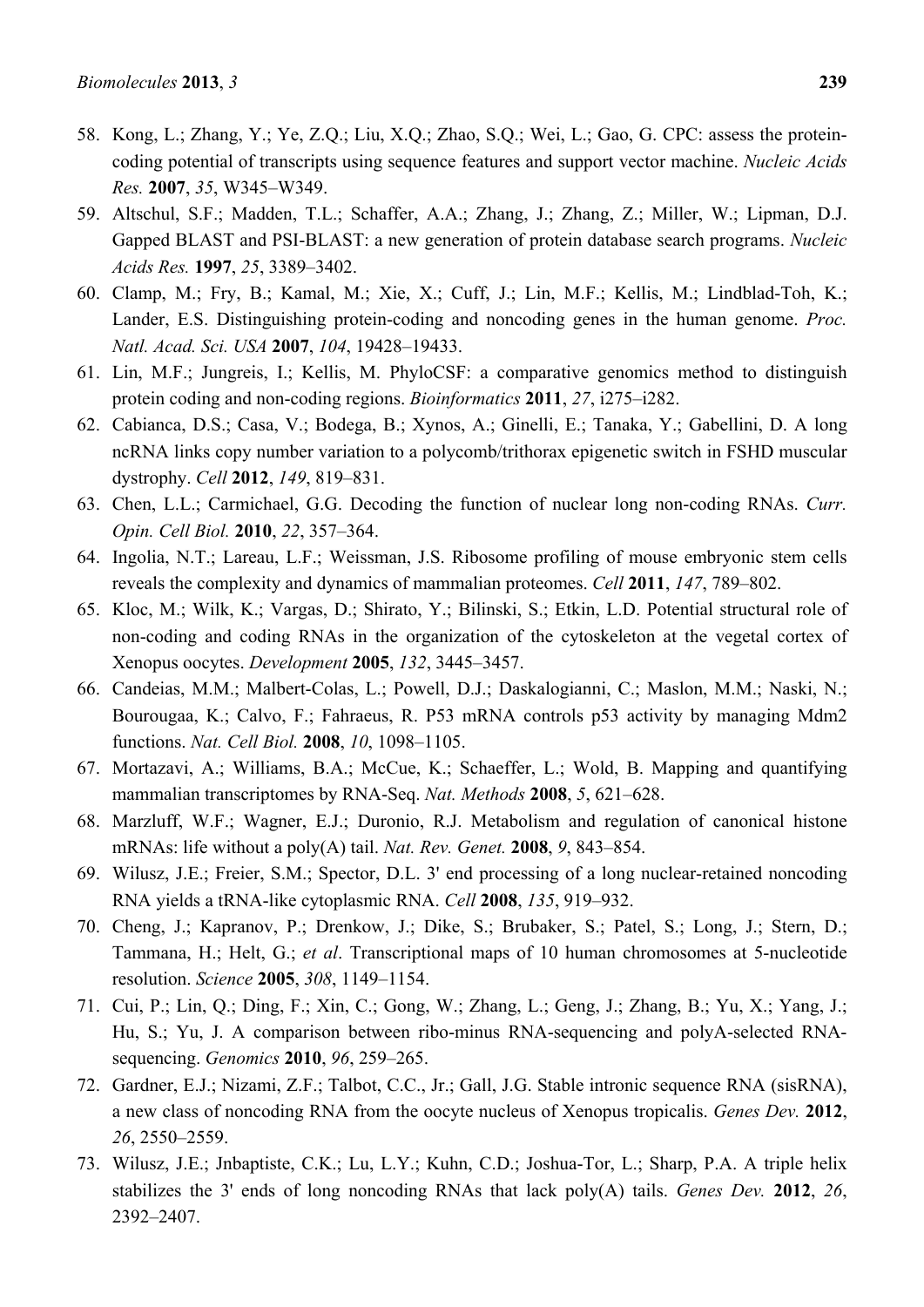- 58. Kong, L.; Zhang, Y.; Ye, Z.Q.; Liu, X.Q.; Zhao, S.Q.; Wei, L.; Gao, G. CPC: assess the proteincoding potential of transcripts using sequence features and support vector machine. *Nucleic Acids Res.* **2007**, *35*, W345–W349.
- 59. Altschul, S.F.; Madden, T.L.; Schaffer, A.A.; Zhang, J.; Zhang, Z.; Miller, W.; Lipman, D.J. Gapped BLAST and PSI-BLAST: a new generation of protein database search programs. *Nucleic Acids Res.* **1997**, *25*, 3389–3402.
- 60. Clamp, M.; Fry, B.; Kamal, M.; Xie, X.; Cuff, J.; Lin, M.F.; Kellis, M.; Lindblad-Toh, K.; Lander, E.S. Distinguishing protein-coding and noncoding genes in the human genome. *Proc. Natl. Acad. Sci. USA* **2007**, *104*, 19428–19433.
- 61. Lin, M.F.; Jungreis, I.; Kellis, M. PhyloCSF: a comparative genomics method to distinguish protein coding and non-coding regions. *Bioinformatics* **2011**, *27*, i275–i282.
- 62. Cabianca, D.S.; Casa, V.; Bodega, B.; Xynos, A.; Ginelli, E.; Tanaka, Y.; Gabellini, D. A long ncRNA links copy number variation to a polycomb/trithorax epigenetic switch in FSHD muscular dystrophy. *Cell* **2012**, *149*, 819–831.
- 63. Chen, L.L.; Carmichael, G.G. Decoding the function of nuclear long non-coding RNAs. *Curr. Opin. Cell Biol.* **2010**, *22*, 357–364.
- 64. Ingolia, N.T.; Lareau, L.F.; Weissman, J.S. Ribosome profiling of mouse embryonic stem cells reveals the complexity and dynamics of mammalian proteomes. *Cell* **2011**, *147*, 789–802.
- 65. Kloc, M.; Wilk, K.; Vargas, D.; Shirato, Y.; Bilinski, S.; Etkin, L.D. Potential structural role of non-coding and coding RNAs in the organization of the cytoskeleton at the vegetal cortex of Xenopus oocytes. *Development* **2005**, *132*, 3445–3457.
- 66. Candeias, M.M.; Malbert-Colas, L.; Powell, D.J.; Daskalogianni, C.; Maslon, M.M.; Naski, N.; Bourougaa, K.; Calvo, F.; Fahraeus, R. P53 mRNA controls p53 activity by managing Mdm2 functions. *Nat. Cell Biol.* **2008**, *10*, 1098–1105.
- 67. Mortazavi, A.; Williams, B.A.; McCue, K.; Schaeffer, L.; Wold, B. Mapping and quantifying mammalian transcriptomes by RNA-Seq. *Nat. Methods* **2008**, *5*, 621–628.
- 68. Marzluff, W.F.; Wagner, E.J.; Duronio, R.J. Metabolism and regulation of canonical histone mRNAs: life without a poly(A) tail. *Nat. Rev. Genet.* **2008**, *9*, 843–854.
- 69. Wilusz, J.E.; Freier, S.M.; Spector, D.L. 3' end processing of a long nuclear-retained noncoding RNA yields a tRNA-like cytoplasmic RNA. *Cell* **2008**, *135*, 919–932.
- 70. Cheng, J.; Kapranov, P.; Drenkow, J.; Dike, S.; Brubaker, S.; Patel, S.; Long, J.; Stern, D.; Tammana, H.; Helt, G.; *et al*. Transcriptional maps of 10 human chromosomes at 5-nucleotide resolution. *Science* **2005**, *308*, 1149–1154.
- 71. Cui, P.; Lin, Q.; Ding, F.; Xin, C.; Gong, W.; Zhang, L.; Geng, J.; Zhang, B.; Yu, X.; Yang, J.; Hu, S.; Yu, J. A comparison between ribo-minus RNA-sequencing and polyA-selected RNAsequencing. *Genomics* **2010**, *96*, 259–265.
- 72. Gardner, E.J.; Nizami, Z.F.; Talbot, C.C., Jr.; Gall, J.G. Stable intronic sequence RNA (sisRNA), a new class of noncoding RNA from the oocyte nucleus of Xenopus tropicalis. *Genes Dev.* **2012**, *26*, 2550–2559.
- 73. Wilusz, J.E.; Jnbaptiste, C.K.; Lu, L.Y.; Kuhn, C.D.; Joshua-Tor, L.; Sharp, P.A. A triple helix stabilizes the 3' ends of long noncoding RNAs that lack poly(A) tails. *Genes Dev.* **2012**, *26*, 2392–2407.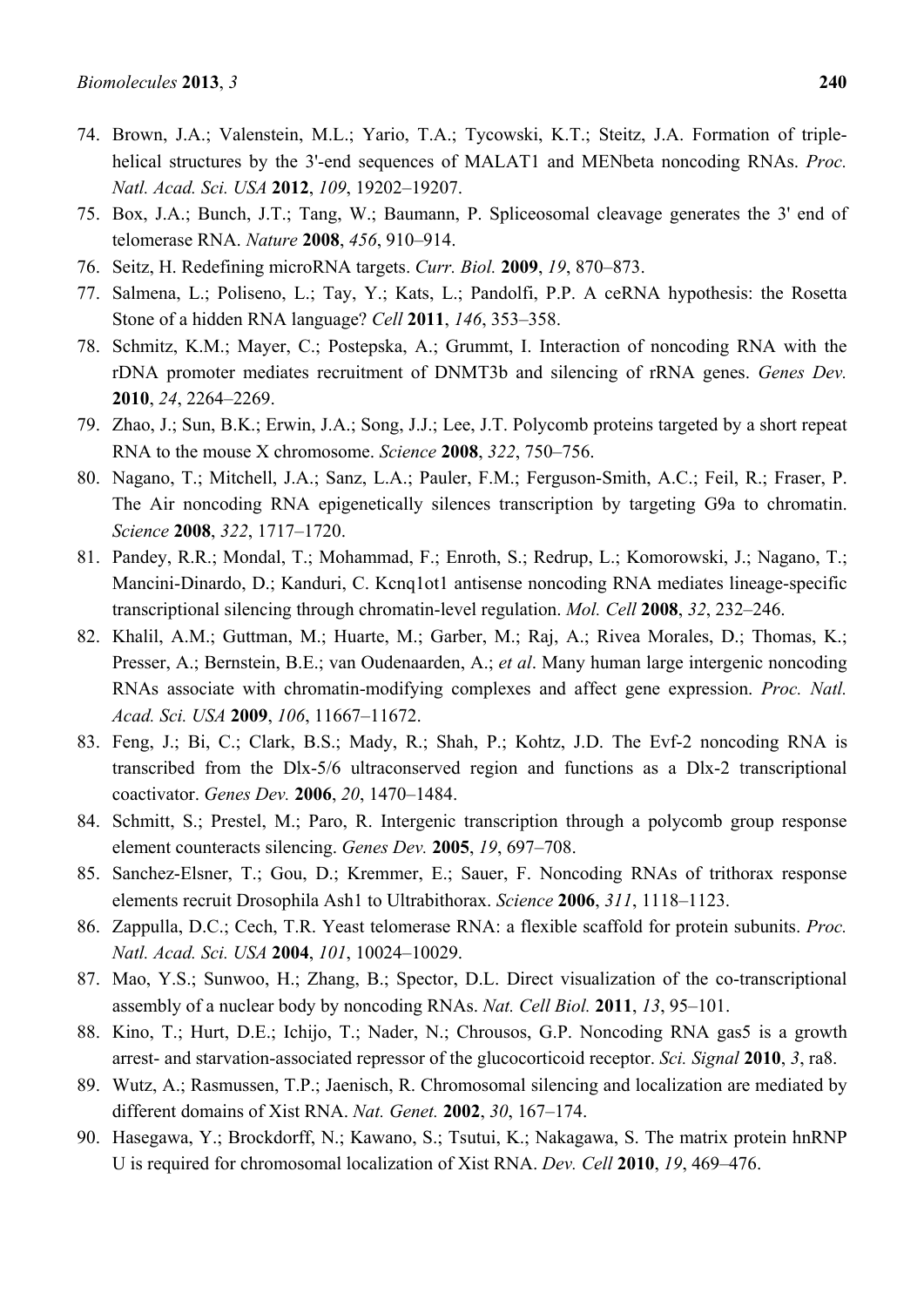- 74. Brown, J.A.; Valenstein, M.L.; Yario, T.A.; Tycowski, K.T.; Steitz, J.A. Formation of triplehelical structures by the 3'-end sequences of MALAT1 and MENbeta noncoding RNAs. *Proc. Natl. Acad. Sci. USA* **2012**, *109*, 19202–19207.
- 75. Box, J.A.; Bunch, J.T.; Tang, W.; Baumann, P. Spliceosomal cleavage generates the 3' end of telomerase RNA. *Nature* **2008**, *456*, 910–914.
- 76. Seitz, H. Redefining microRNA targets. *Curr. Biol.* **2009**, *19*, 870–873.
- 77. Salmena, L.; Poliseno, L.; Tay, Y.; Kats, L.; Pandolfi, P.P. A ceRNA hypothesis: the Rosetta Stone of a hidden RNA language? *Cell* **2011**, *146*, 353–358.
- 78. Schmitz, K.M.; Mayer, C.; Postepska, A.; Grummt, I. Interaction of noncoding RNA with the rDNA promoter mediates recruitment of DNMT3b and silencing of rRNA genes. *Genes Dev.*  **2010**, *24*, 2264–2269.
- 79. Zhao, J.; Sun, B.K.; Erwin, J.A.; Song, J.J.; Lee, J.T. Polycomb proteins targeted by a short repeat RNA to the mouse X chromosome. *Science* **2008**, *322*, 750–756.
- 80. Nagano, T.; Mitchell, J.A.; Sanz, L.A.; Pauler, F.M.; Ferguson-Smith, A.C.; Feil, R.; Fraser, P. The Air noncoding RNA epigenetically silences transcription by targeting G9a to chromatin. *Science* **2008**, *322*, 1717–1720.
- 81. Pandey, R.R.; Mondal, T.; Mohammad, F.; Enroth, S.; Redrup, L.; Komorowski, J.; Nagano, T.; Mancini-Dinardo, D.; Kanduri, C. Kcnq1ot1 antisense noncoding RNA mediates lineage-specific transcriptional silencing through chromatin-level regulation. *Mol. Cell* **2008**, *32*, 232–246.
- 82. Khalil, A.M.; Guttman, M.; Huarte, M.; Garber, M.; Raj, A.; Rivea Morales, D.; Thomas, K.; Presser, A.; Bernstein, B.E.; van Oudenaarden, A.; *et al*. Many human large intergenic noncoding RNAs associate with chromatin-modifying complexes and affect gene expression. *Proc. Natl. Acad. Sci. USA* **2009**, *106*, 11667–11672.
- 83. Feng, J.; Bi, C.; Clark, B.S.; Mady, R.; Shah, P.; Kohtz, J.D. The Evf-2 noncoding RNA is transcribed from the Dlx-5/6 ultraconserved region and functions as a Dlx-2 transcriptional coactivator. *Genes Dev.* **2006**, *20*, 1470–1484.
- 84. Schmitt, S.; Prestel, M.; Paro, R. Intergenic transcription through a polycomb group response element counteracts silencing. *Genes Dev.* **2005**, *19*, 697–708.
- 85. Sanchez-Elsner, T.; Gou, D.; Kremmer, E.; Sauer, F. Noncoding RNAs of trithorax response elements recruit Drosophila Ash1 to Ultrabithorax. *Science* **2006**, *311*, 1118–1123.
- 86. Zappulla, D.C.; Cech, T.R. Yeast telomerase RNA: a flexible scaffold for protein subunits. *Proc. Natl. Acad. Sci. USA* **2004**, *101*, 10024–10029.
- 87. Mao, Y.S.; Sunwoo, H.; Zhang, B.; Spector, D.L. Direct visualization of the co-transcriptional assembly of a nuclear body by noncoding RNAs. *Nat. Cell Biol.* **2011**, *13*, 95–101.
- 88. Kino, T.; Hurt, D.E.; Ichijo, T.; Nader, N.; Chrousos, G.P. Noncoding RNA gas5 is a growth arrest- and starvation-associated repressor of the glucocorticoid receptor. *Sci. Signal* **2010**, *3*, ra8.
- 89. Wutz, A.; Rasmussen, T.P.; Jaenisch, R. Chromosomal silencing and localization are mediated by different domains of Xist RNA. *Nat. Genet.* **2002**, *30*, 167–174.
- 90. Hasegawa, Y.; Brockdorff, N.; Kawano, S.; Tsutui, K.; Nakagawa, S. The matrix protein hnRNP U is required for chromosomal localization of Xist RNA. *Dev. Cell* **2010**, *19*, 469–476.